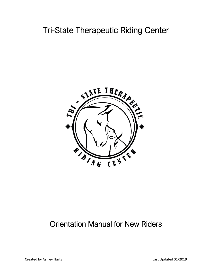# Tri-State Therapeutic Riding Center



## Orientation Manual for New Riders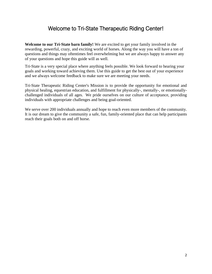## Welcome to Tri-State Therapeutic Riding Center!

**Welcome to our Tri-State barn family!** We are excited to get your family involved in the rewarding, powerful, crazy, and exciting world of horses. Along the way you will have a ton of questions and things may oftentimes feel overwhelming but we are always happy to answer any of your questions and hope this guide will as well.

Tri-State is a very special place where anything feels possible. We look forward to hearing your goals and working toward achieving them. Use this guide to get the best out of your experience and we always welcome feedback to make sure we are meeting your needs.

Tri-State Therapeutic Riding Center's Mission is to provide the opportunity for emotional and physical healing, equestrian education, and fulfillment for physically-, mentally-, or emotionallychallenged individuals of all ages. We pride ourselves on our culture of acceptance, providing individuals with appropriate challenges and being goal-oriented.

We serve over 200 individuals annually and hope to reach even more members of the community. It is our dream to give the community a safe, fun, family-oriented place that can help participants reach their goals both on and off horse.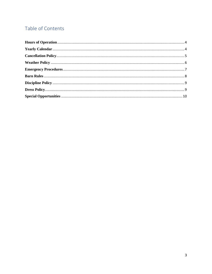## Table of Contents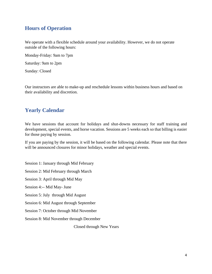#### <span id="page-3-0"></span>**Hours of Operation**

We operate with a flexible schedule around your availability. However, we do not operate outside of the following hours:

Monday-Friday: 9am to 7pm

Saturday: 9am to 2pm

Sunday: Closed

Our instructors are able to make-up and reschedule lessons within business hours and based on their availability and discretion.

#### <span id="page-3-1"></span>**Yearly Calendar**

We have sessions that account for holidays and shut-downs necessary for staff training and development, special events, and horse vacation. Sessions are 5 weeks each so that billing is easier for those paying by session.

If you are paying by the session, it will be based on the following calendar. Please note that there will be announced closures for minor holidays, weather and special events.

Session 1: January through Mid February

Session 2: Mid February through March

Session 3: April through Mid May

Session 4:-- Mid May- June

Session 5: July through Mid August

Session 6: Mid August through September

Session 7: October through Mid November

Session 8: Mid November through December

Closed through New Years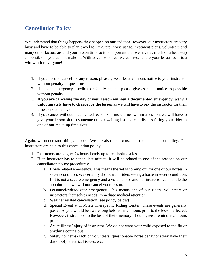### <span id="page-4-0"></span>**Cancellation Policy**

We understand that things happen- they happen on our end too! However, our instructors are very busy and have to be able to plan travel to Tri-State, horse usage, treatment plans, volunteers and many other factors around your lesson time so it is important that we have as much of a heads-up as possible if you cannot make it. With advance notice, we can reschedule your lesson so it is a win-win for everyone!

- 1. If you need to cancel for any reason, please give at least 24 hours notice to your instructor without penalty or questions.
- 2. If it is an emergency- medical or family related, please give as much notice as possible without penalty.
- 3. **If you are canceling the day of your lesson without a documented emergency, we will unfortunately have to charge for the lesson** as we will have to pay the instructor for their time as noted above.
- 4. If you cancel without documented reason 3 or more times within a session, we will have to give your lesson slot to someone on our waiting list and can discuss fitting your rider in one of our make-up time slots.

Again, we understand things happen. We are also not excused to the cancellation policy. Our instructors are held to this cancellation policy:

- 1. Instructors are to give 24 hours heads-up to reschedule a lesson.
- 2. If an instructor has to cancel last minute, it will be related to one of the reasons on our cancellation policy procedures:
	- a. Horse related emergency. This means the vet is coming out for one of our horses in severe condition. We certainly do not want riders seeing a horse in severe condition. If it is not a severe emergency and a volunteer or another instructor can handle the appointment we will not cancel your lesson.
	- b. Personnel/rider/visitor emergency. This means one of our riders, volunteers or instructors themselves needs immediate medical attention.
	- c. Weather related cancellation (see policy below)
	- d. Special Event at Tri-State Therapeutic Riding Center. These events are generally posted so you would be aware long before the 24 hours prior to the lesson affected. However, instructors, to the best of their memory, should give a reminder 24 hours prior.
	- e. Acute illness/injury of instructor. We do not want your child exposed to the flu or anything contagious.
	- f. Safety concerns- lack of volunteers, questionable horse behavior (they have their days too!), electrical issues, etc.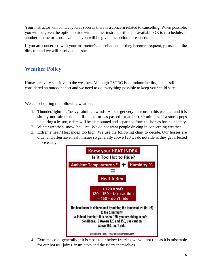Your instructor will contact you as soon as there is a concern related to cancelling. When possible, you will be given the option to ride with another instructor if one is available OR to reschedule. If another instructor is not available you will be given the option to reschedule.

If you are concerned with your instructor's cancellations or they become frequent, please call the director and we will resolve the issue.

## <span id="page-5-0"></span>**Weather Policy**

Horses are very sensitive to the weather. Although TSTRC is an indoor facility, this is still considered an outdoor sport and we need to do everything possible to keep your child safe.

We cancel during the following weather:

- 1. Thunder/lightning/heavy rain/high winds. Horses get very nervous in this weather and it is simply not safe to ride until the storm has passed for at least 30 minutes. If a storm pops up during a lesson, riders will be dismounted and separated from the horses for their safety.
- 2. Winter weather- snow, hail, ice. We do not want people driving in concerning weather.
- 3. Extreme heat/ Heat index too high. We use the following chart to decide. Our horses are older and often have health issues so generally above 120 we do not ride as they get affected more easily.



4. Extreme cold- generally if it is close to or below freezing we will not ride as it is miserable for our horses' joints, instructors and the riders themselves.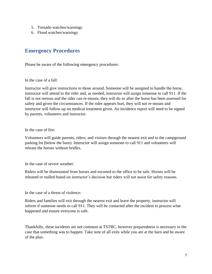- 5. Tornado watches/warnings
- 6. Flood watches/warnings

#### <span id="page-6-0"></span>**Emergency Procedures**

Please be aware of the following emergency procedures:

In the case of a fall:

Instructor will give instructions to those around. Someone will be assigned to handle the horse, instructor will attend to the rider and, as needed, instructor will assign someone to call 911. If the fall is not serious and the rider can re-mount, they will do so after the horse has been assessed for safety and given the circumstances. If the rider appears hurt, they will not re-mount and instructor will follow-up on medical treatment given. An incidence report will need to be signed by parents, volunteers and instructor.

In the case of fire:

Volunteers will guide parents, riders, and visitors through the nearest exit and to the campground parking lot (below the barn). Instructor will assign someone to call 911 and volunteers will release the horses without bridles.

In the case of severe weather:

Riders will be dismounted from horses and escorted to the office to be safe. Horses will be released or stalled based on instructor's decision but riders will not assist for safety reasons.

In the case of a threat of violence:

Riders and families will exit through the nearest exit and leave the property, instructor will inform if someone needs to call 911. They will be contacted after the incident to process what happened and ensure everyone is safe.

Thankfully, these incidents are not common at TSTRC, however preparedness is necessary in the case that something was to happen. Take note of all exits while you are at the barn and be aware of the plan.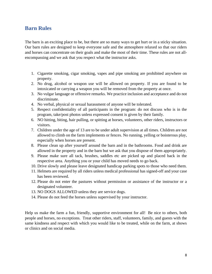#### <span id="page-7-0"></span>**Barn Rules**

The barn is an exciting place to be, but there are so many ways to get hurt or in a sticky situation. Our barn rules are designed to keep everyone safe and the atmosphere relaxed so that our riders and horses can concentrate on their goals and make the most of their time. These rules are not allencompassing and we ask that you respect what the instructor asks.

- 1. Cigarette smoking, cigar smoking, vapes and pipe smoking are prohibited anywhere on property.
- 2. No drug, alcohol or weapon use will be allowed on property. If you are found to be intoxicated or carrying a weapon you will be removed from the property at once.
- 3. No vulgar language or offensive remarks. We practice inclusion and acceptance and do not discriminate.
- 4. No verbal, physical or sexual harassment of anyone will be tolerated.
- 5. Respect confidentiality of all participants in the program: do not discuss who is in the program, take/post photos unless expressed consent is given by their family.
- 6. NO hitting, biting, hair pulling, or spitting at horses, volunteers, other riders, instructors or visitors.
- 7. Children under the age of 13 are to be under adult supervision at all times. Children are not allowed to climb on the farm implements or fences. No running, yelling or boisterous play, especially when horses are present.
- 8. Please clean up after yourself around the barn and in the bathrooms. Food and drink are allowed in the property and in the barn but we ask that you dispose of them appropriately.
- 9. Please make sure all tack, brushes, saddles etc are picked up and placed back in the respective area. Anything you or your child has moved needs to go back.
- 10. Drive slowly and please leave designated handicap parking spots to those who need them.
- 11. Helmets are required by all riders unless medical professional has signed-off and your case has been reviewed.
- 12. Please do not enter the pastures without permission or assistance of the instructor or a designated volunteer.
- 13. NO DOGS ALLOWED unless they are service dogs.
- 14. Please do not feed the horses unless supervised by your instructor.

Help us make the farm a fun, friendly, supportive environment for all! Be nice to others, both people and horses, no exceptions. Treat other riders, staff, volunteers, family, and guests with the same kindness and respect with which you would like to be treated, while on the farm, at shows or clinics and on social media.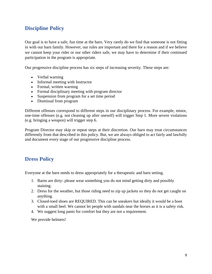### <span id="page-8-0"></span>**Discipline Policy**

Our goal is to have a safe, fun time at the barn. Very rarely do we find that someone is not fitting in with our barn family. However, our rules are important and there for a reason and if we believe we cannot keep your rider or our other riders safe, we may have to determine if their continued participation in the program is appropriate.

Our progressive discipline process has six steps of increasing severity. These steps are:

- Verbal warning
- Informal meeting with Instructor
- Formal, written warning
- Formal disciplinary meeting with program director
- Suspension from program for a set time period
- Dismissal from program

Different offenses correspond to different steps in our disciplinary process. For example, minor, one-time offenses (e.g. not cleaning up after oneself) will trigger Step 1. More severe violations (e.g. bringing a weapon) will trigger step 6.

Program Director may skip or repeat steps at their discretion. Our barn may treat circumstances differently from that described in this policy. But, we are always obliged to act fairly and lawfully and document every stage of our progressive discipline process.

#### <span id="page-8-1"></span>**Dress Policy**

Everyone at the barn needs to dress appropriately for a therapeutic and barn setting.

- 1. Barns are dirty- please wear something you do not mind getting dirty and possibly staining.
- 2. Dress for the weather, but those riding need to zip up jackets so they do not get caught on anything.
- 3. Closed-toed shoes are REQUIRED. This can be sneakers but ideally it would be a boot with a small heel. We cannot let people with sandals near the horses as it is a safety risk.
- 4. We suggest long pants for comfort but they are not a requirement.

We provide helmets!